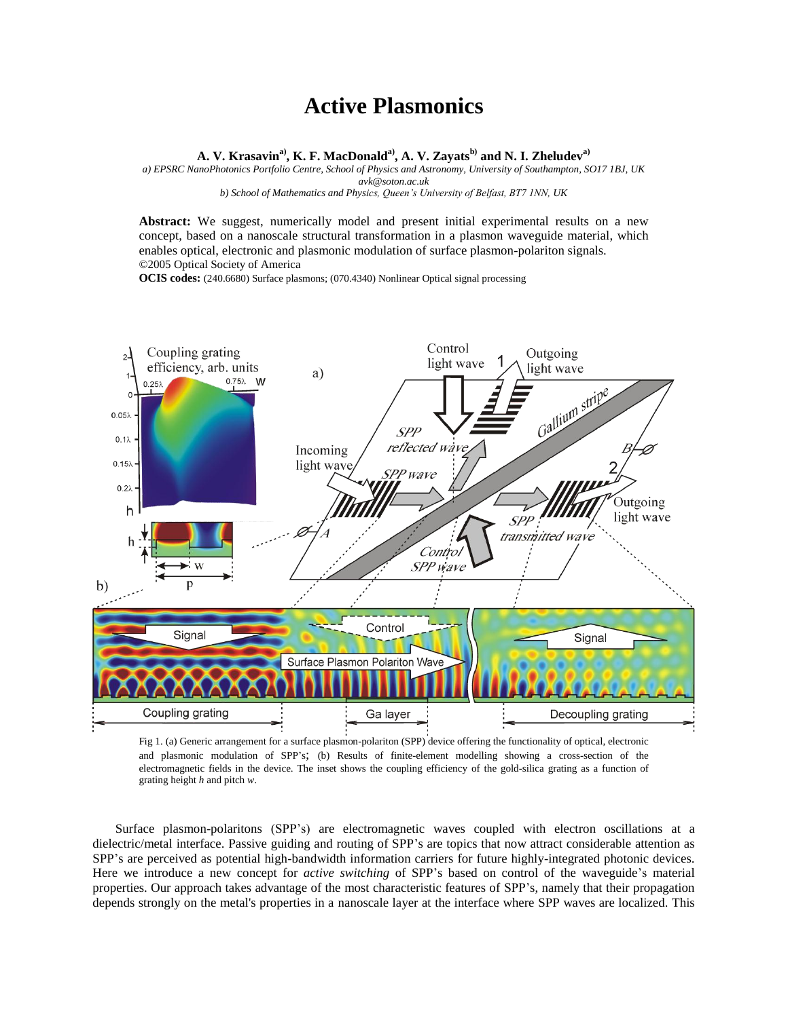## **Active Plasmonics**

**A. V. Krasavina), K. F. MacDonalda), A. V. Zayatsb) and N. I. Zheludeva)**

*a) EPSRC NanoPhotonics Portfolio Centre, School of Physics and Astronomy, University of Southampton, SO17 1BJ, UK avk@soton.ac.uk b) School of Mathematics and Physics, Queen's University of Belfast, BT7 1NN, UK*

**Abstract:** We suggest, numerically model and present initial experimental results on a new concept, based on a nanoscale structural transformation in a plasmon waveguide material, which enables optical, electronic and plasmonic modulation of surface plasmon-polariton signals. ©2005 Optical Society of America

**OCIS codes:** (240.6680) Surface plasmons; (070.4340) Nonlinear Optical signal processing



Fig 1. (a) Generic arrangement for a surface plasmon-polariton (SPP) device offering the functionality of optical, electronic and plasmonic modulation of SPP's; (b) Results of finite-element modelling showing a cross-section of the electromagnetic fields in the device. The inset shows the coupling efficiency of the gold-silica grating as a function of grating height *h* and pitch *w*.

Surface plasmon-polaritons (SPP's) are electromagnetic waves coupled with electron oscillations at a dielectric/metal interface. Passive guiding and routing of SPP's are topics that now attract considerable attention as SPP's are perceived as potential high-bandwidth information carriers for future highly-integrated photonic devices. Here we introduce a new concept for *active switching* of SPP's based on control of the waveguide's material properties. Our approach takes advantage of the most characteristic features of SPP's, namely that their propagation depends strongly on the metal's properties in a nanoscale layer at the interface where SPP waves are localized. This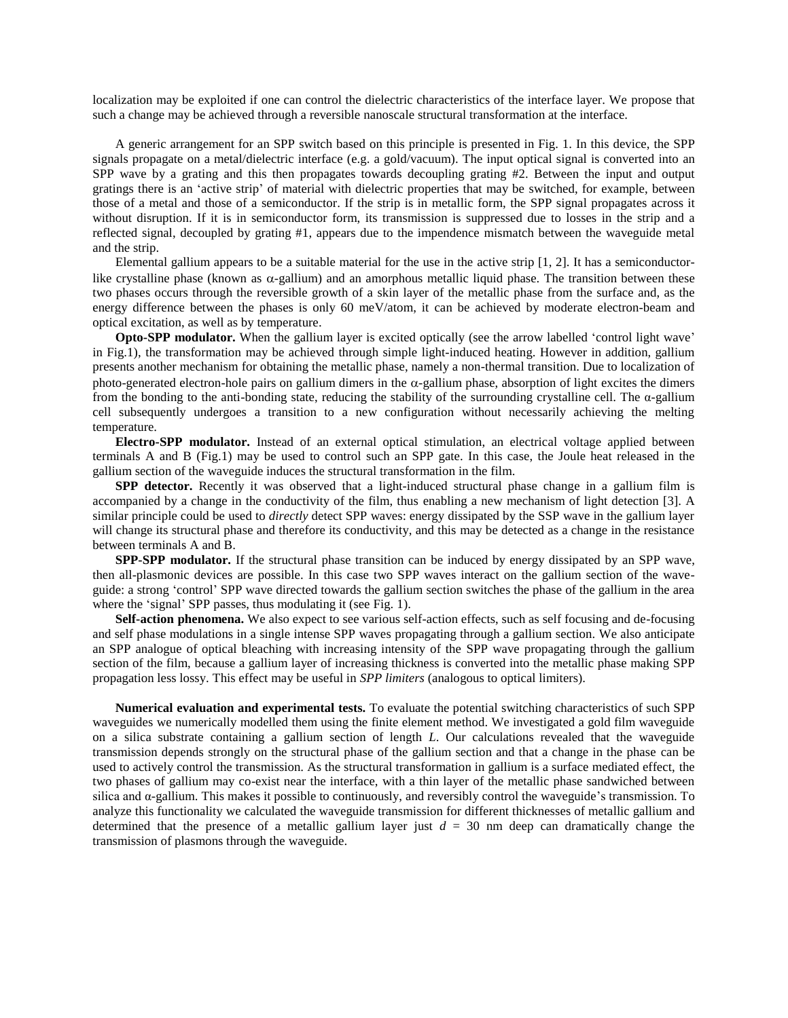localization may be exploited if one can control the dielectric characteristics of the interface layer. We propose that such a change may be achieved through a reversible nanoscale structural transformation at the interface.

A generic arrangement for an SPP switch based on this principle is presented in Fig. 1. In this device, the SPP signals propagate on a metal/dielectric interface (e.g. a gold/vacuum). The input optical signal is converted into an SPP wave by a grating and this then propagates towards decoupling grating #2. Between the input and output gratings there is an 'active strip' of material with dielectric properties that may be switched, for example, between those of a metal and those of a semiconductor. If the strip is in metallic form, the SPP signal propagates across it without disruption. If it is in semiconductor form, its transmission is suppressed due to losses in the strip and a reflected signal, decoupled by grating #1, appears due to the impendence mismatch between the waveguide metal and the strip.

Elemental gallium appears to be a suitable material for the use in the active strip  $[1, 2]$ . It has a semiconductorlike crystalline phase (known as  $\alpha$ -gallium) and an amorphous metallic liquid phase. The transition between these two phases occurs through the reversible growth of a skin layer of the metallic phase from the surface and, as the energy difference between the phases is only 60 meV/atom, it can be achieved by moderate electron-beam and optical excitation, as well as by temperature.

**Opto-SPP modulator.** When the gallium layer is excited optically (see the arrow labelled 'control light wave' in Fig.1), the transformation may be achieved through simple light-induced heating. However in addition, gallium presents another mechanism for obtaining the metallic phase, namely a non-thermal transition. Due to localization of photo-generated electron-hole pairs on gallium dimers in the  $\alpha$ -gallium phase, absorption of light excites the dimers from the bonding to the anti-bonding state, reducing the stability of the surrounding crystalline cell. The  $\alpha$ -gallium cell subsequently undergoes a transition to a new configuration without necessarily achieving the melting temperature.

**Electro-SPP modulator.** Instead of an external optical stimulation, an electrical voltage applied between terminals A and B (Fig.1) may be used to control such an SPP gate. In this case, the Joule heat released in the gallium section of the waveguide induces the structural transformation in the film.

**SPP detector.** Recently it was observed that a light-induced structural phase change in a gallium film is accompanied by a change in the conductivity of the film, thus enabling a new mechanism of light detection [3]. A similar principle could be used to *directly* detect SPP waves: energy dissipated by the SSP wave in the gallium layer will change its structural phase and therefore its conductivity, and this may be detected as a change in the resistance between terminals A and B.

**SPP-SPP modulator.** If the structural phase transition can be induced by energy dissipated by an SPP wave, then all-plasmonic devices are possible. In this case two SPP waves interact on the gallium section of the waveguide: a strong 'control' SPP wave directed towards the gallium section switches the phase of the gallium in the area where the 'signal' SPP passes, thus modulating it (see Fig. 1).

**Self-action phenomena.** We also expect to see various self-action effects, such as self focusing and de-focusing and self phase modulations in a single intense SPP waves propagating through a gallium section. We also anticipate an SPP analogue of optical bleaching with increasing intensity of the SPP wave propagating through the gallium section of the film, because a gallium layer of increasing thickness is converted into the metallic phase making SPP propagation less lossy. This effect may be useful in *SPP limiters* (analogous to optical limiters).

**Numerical evaluation and experimental tests.** To evaluate the potential switching characteristics of such SPP waveguides we numerically modelled them using the finite element method. We investigated a gold film waveguide on a silica substrate containing a gallium section of length *L*. Our calculations revealed that the waveguide transmission depends strongly on the structural phase of the gallium section and that a change in the phase can be used to actively control the transmission. As the structural transformation in gallium is a surface mediated effect, the two phases of gallium may co-exist near the interface, with a thin layer of the metallic phase sandwiched between silica and α-gallium. This makes it possible to continuously, and reversibly control the waveguide's transmission. To analyze this functionality we calculated the waveguide transmission for different thicknesses of metallic gallium and determined that the presence of a metallic gallium layer just  $d = 30$  nm deep can dramatically change the transmission of plasmons through the waveguide.